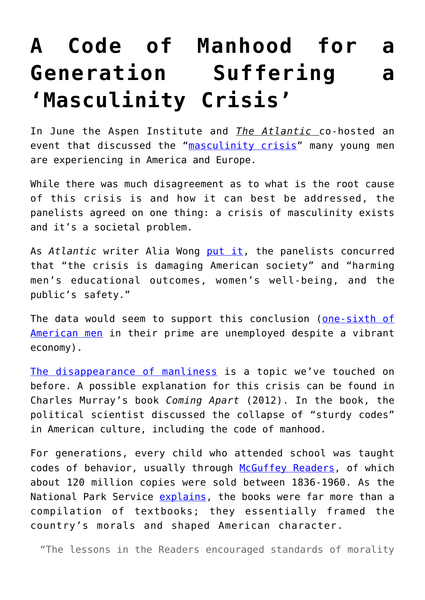## **[A Code of Manhood for a](https://intellectualtakeout.org/2018/07/a-code-of-manhood-for-a-generation-suffering-a-masculinity-crisis/) [Generation Suffering a](https://intellectualtakeout.org/2018/07/a-code-of-manhood-for-a-generation-suffering-a-masculinity-crisis/) ['Masculinity Crisis'](https://intellectualtakeout.org/2018/07/a-code-of-manhood-for-a-generation-suffering-a-masculinity-crisis/)**

In June the Aspen Institute and *The Atlantic* co-hosted an event that discussed the "[masculinity crisis](http://time.com/4339209/masculinity-crisis/)" many young men are experiencing in America and Europe.

While there was much disagreement as to what is the root cause of this crisis is and how it can best be addressed, the panelists agreed on one thing: a crisis of masculinity exists and it's a societal problem.

As *Atlantic* writer Alia Wong [put it,](https://www.theatlantic.com/family/archive/2018/06/why-american-men-are-in-crisis/563807/) the panelists concurred that "the crisis is damaging American society" and "harming men's educational outcomes, women's well-being, and the public's safety."

The data would seem to support this conclusion ([one-sixth of](https://www.intellectualtakeout.org/blog/americas-ghost-legions-idle-men) [American men](https://www.intellectualtakeout.org/blog/americas-ghost-legions-idle-men) in their prime are unemployed despite a vibrant economy).

[The disappearance of manliness](https://www.intellectualtakeout.org/article/why-manliness-disappearing) is a topic we've touched on before. A possible explanation for this crisis can be found in Charles Murray's book *Coming Apart* (2012). In the book, the political scientist discussed the collapse of "sturdy codes" in American culture, including the code of manhood.

For generations, every child who attended school was taught codes of behavior, usually through [McGuffey Readers,](https://en.wikipedia.org/wiki/McGuffey_Readers) of which about 120 million copies were sold between 1836-1960. As the National Park Service [explains](https://www.nps.gov/jeff/learn/historyculture/upload/mcguffey.pdf), the books were far more than a compilation of textbooks; they essentially framed the country's morals and shaped American character.

"The lessons in the Readers encouraged standards of morality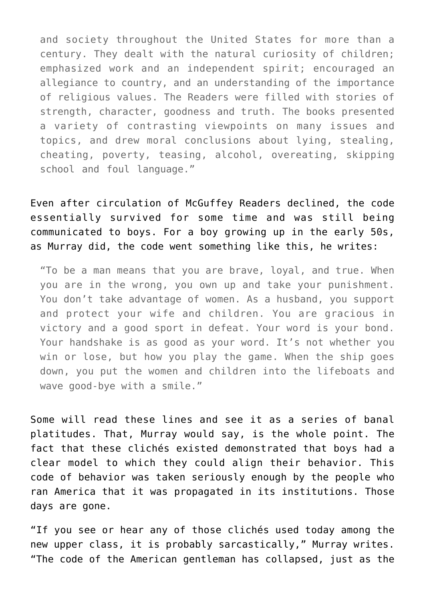and society throughout the United States for more than a century. They dealt with the natural curiosity of children; emphasized work and an independent spirit; encouraged an allegiance to country, and an understanding of the importance of religious values. The Readers were filled with stories of strength, character, goodness and truth. The books presented a variety of contrasting viewpoints on many issues and topics, and drew moral conclusions about lying, stealing, cheating, poverty, teasing, alcohol, overeating, skipping school and foul language."

Even after circulation of McGuffey Readers declined, the code essentially survived for some time and was still being communicated to boys. For a boy growing up in the early 50s, as Murray did, the code went something like this, he writes:

"To be a man means that you are brave, loyal, and true. When you are in the wrong, you own up and take your punishment. You don't take advantage of women. As a husband, you support and protect your wife and children. You are gracious in victory and a good sport in defeat. Your word is your bond. Your handshake is as good as your word. It's not whether you win or lose, but how you play the game. When the ship goes down, you put the women and children into the lifeboats and wave good-bye with a smile."

Some will read these lines and see it as a series of banal platitudes. That, Murray would say, is the whole point. The fact that these clichés existed demonstrated that boys had a clear model to which they could align their behavior. This code of behavior was taken seriously enough by the people who ran America that it was propagated in its institutions. Those days are gone.

"If you see or hear any of those clichés used today among the new upper class, it is probably sarcastically," Murray writes. "The code of the American gentleman has collapsed, just as the